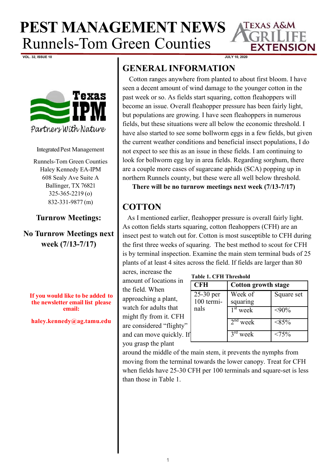

**VOL. 32, ISSUE 10 JULY 10, 2020**



Integrated Pest Management

Runnels-Tom Green Counties Haley Kennedy EA-IPM 608 Sealy Ave Suite A Ballinger, TX 76821 325-365-2219 (o) 832-331-9877 (m)

**Turnrow Meetings:** 

**No Turnrow Meetings next week (7/13-7/17)**

**If you would like to be added to the newsletter email list please email:**

**haley.kennedy@ag.tamu.edu**

## **GENERAL INFORMATION**

Cotton ranges anywhere from planted to about first bloom. I have seen a decent amount of wind damage to the younger cotton in the past week or so. As fields start squaring, cotton fleahoppers will become an issue. Overall fleahopper pressure has been fairly light, but populations are growing. I have seen fleahoppers in numerous fields, but these situations were all below the economic threshold. I have also started to see some bollworm eggs in a few fields, but given the current weather conditions and beneficial insect populations, I do not expect to see this as an issue in these fields. I am continuing to look for bollworm egg lay in area fields. Regarding sorghum, there are a couple more cases of sugarcane aphids (SCA) popping up in northern Runnels county, but these were all well below threshold.

**There will be no turnrow meetings next week (7/13-7/17)**

## **COTTON**

As I mentioned earlier, fleahopper pressure is overall fairly light. As cotton fields starts squaring, cotton fleahoppers (CFH) are an insect pest to watch out for. Cotton is most susceptible to CFH during the first three weeks of squaring. The best method to scout for CFH is by terminal inspection. Examine the main stem terminal buds of 25 plants of at least 4 sites across the field. If fields are larger than 80

acres, increase the amount of locations in the field. When approaching a plant, watch for adults that might fly from it. CFH are considered "flighty" and can move quickly. If you grasp the plant

|  |  | Table 1. CFH Threshold |
|--|--|------------------------|
|--|--|------------------------|

| <b>CFH</b>                | <b>Cotton growth stage</b> |            |
|---------------------------|----------------------------|------------|
| $25-30$ per<br>100 termi- | Week of<br>squaring        | Square set |
| nals                      | $1st$ week                 | $<,90\%$   |
|                           | $2nd$ week                 | $<85\%$    |
|                           | $3^{\text{ra}}$<br>week    | $< 75\%$   |

around the middle of the main stem, it prevents the nymphs from moving from the terminal towards the lower canopy. Treat for CFH when fields have 25-30 CFH per 100 terminals and square-set is less than those in Table 1.